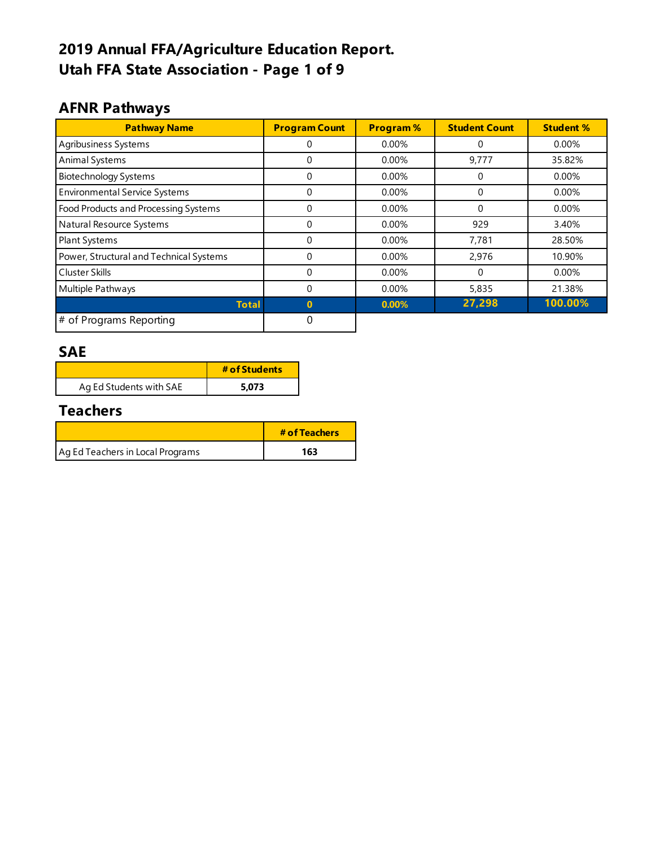# **2019 Annual FFA/Agriculture Education Report. Utah FFA State Association - Page 1 of 9**

### **AFNR Pathways**

| <b>Pathway Name</b>                     | <b>Program Count</b> | <b>Program%</b> | <b>Student Count</b> | <b>Student %</b> |
|-----------------------------------------|----------------------|-----------------|----------------------|------------------|
| Agribusiness Systems                    | 0                    | 0.00%           | 0                    | 0.00%            |
| Animal Systems                          | 0                    | 0.00%           | 9,777                | 35.82%           |
| <b>Biotechnology Systems</b>            | $\Omega$             | $0.00\%$        | 0                    | 0.00%            |
| <b>Environmental Service Systems</b>    | $\Omega$             | $0.00\%$        | 0                    | 0.00%            |
| Food Products and Processing Systems    | $\Omega$             | 0.00%           | 0                    | 0.00%            |
| Natural Resource Systems                | $\Omega$             | 0.00%           | 929                  | 3.40%            |
| <b>Plant Systems</b>                    | 0                    | $0.00\%$        | 7,781                | 28.50%           |
| Power, Structural and Technical Systems | 0                    | $0.00\%$        | 2,976                | 10.90%           |
| <b>Cluster Skills</b>                   | $\Omega$             | 0.00%           | 0                    | 0.00%            |
| Multiple Pathways                       | $\Omega$             | $0.00\%$        | 5,835                | 21.38%           |
| <b>Total</b>                            | $\bf{0}$             | 0.00%           | 27,298               | 100.00%          |
| # of Programs Reporting                 | 0                    |                 |                      |                  |

#### **SAE**

|                         | # of Students |
|-------------------------|---------------|
| Ag Ed Students with SAE | 5.073         |

### **Teachers**

|                                  | # of Teachers |
|----------------------------------|---------------|
| Ag Ed Teachers in Local Programs | 163           |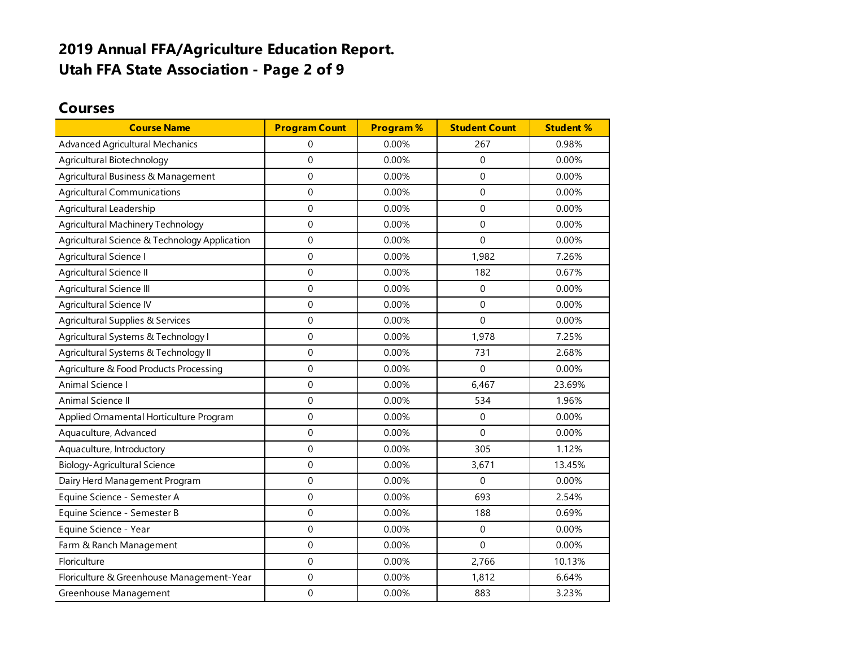### **2019 Annual FFA/Agriculture Education Report. Utah FFA State Association - Page 2 of 9**

#### **Courses**

| <b>Course Name</b>                            | <b>Program Count</b> | <b>Program%</b> | <b>Student Count</b> | <b>Student %</b> |
|-----------------------------------------------|----------------------|-----------------|----------------------|------------------|
| <b>Advanced Agricultural Mechanics</b>        | 0                    | 0.00%           | 267                  | 0.98%            |
| Agricultural Biotechnology                    | $\mathbf{0}$         | 0.00%           | $\Omega$             | 0.00%            |
| Agricultural Business & Management            | $\Omega$             | 0.00%           | $\Omega$             | 0.00%            |
| <b>Agricultural Communications</b>            | $\mathbf 0$          | 0.00%           | $\mathbf 0$          | 0.00%            |
| Agricultural Leadership                       | $\mathbf 0$          | 0.00%           | $\mathbf 0$          | 0.00%            |
| Agricultural Machinery Technology             | $\mathbf 0$          | 0.00%           | $\mathbf 0$          | 0.00%            |
| Agricultural Science & Technology Application | $\mathbf 0$          | 0.00%           | $\Omega$             | 0.00%            |
| Agricultural Science I                        | $\Omega$             | 0.00%           | 1,982                | 7.26%            |
| Agricultural Science II                       | $\mathbf 0$          | 0.00%           | 182                  | 0.67%            |
| Agricultural Science III                      | $\mathbf 0$          | 0.00%           | $\Omega$             | 0.00%            |
| Agricultural Science IV                       | $\mathbf 0$          | 0.00%           | $\mathbf 0$          | 0.00%            |
| Agricultural Supplies & Services              | $\mathbf 0$          | 0.00%           | $\Omega$             | 0.00%            |
| Agricultural Systems & Technology I           | $\pmb{0}$            | 0.00%           | 1,978                | 7.25%            |
| Agricultural Systems & Technology II          | $\mathbf 0$          | 0.00%           | 731                  | 2.68%            |
| Agriculture & Food Products Processing        | $\mathbf{0}$         | 0.00%           | $\Omega$             | 0.00%            |
| Animal Science I                              | $\mathbf 0$          | 0.00%           | 6,467                | 23.69%           |
| Animal Science II                             | $\mathbf 0$          | 0.00%           | 534                  | 1.96%            |
| Applied Ornamental Horticulture Program       | $\mathbf 0$          | 0.00%           | $\mathbf 0$          | 0.00%            |
| Aquaculture, Advanced                         | $\mathbf{0}$         | 0.00%           | $\Omega$             | 0.00%            |
| Aquaculture, Introductory                     | $\mathbf 0$          | 0.00%           | 305                  | 1.12%            |
| <b>Biology-Agricultural Science</b>           | $\Omega$             | 0.00%           | 3,671                | 13.45%           |
| Dairy Herd Management Program                 | $\mathbf 0$          | 0.00%           | $\Omega$             | 0.00%            |
| Equine Science - Semester A                   | $\mathbf 0$          | 0.00%           | 693                  | 2.54%            |
| Equine Science - Semester B                   | $\mathbf 0$          | 0.00%           | 188                  | 0.69%            |
| Equine Science - Year                         | $\mathbf 0$          | 0.00%           | $\mathbf 0$          | 0.00%            |
| Farm & Ranch Management                       | $\mathbf 0$          | 0.00%           | $\mathbf 0$          | 0.00%            |
| Floriculture                                  | $\mathbf 0$          | 0.00%           | 2,766                | 10.13%           |
| Floriculture & Greenhouse Management-Year     | $\mathbf 0$          | 0.00%           | 1,812                | 6.64%            |
| Greenhouse Management                         | $\mathbf 0$          | 0.00%           | 883                  | 3.23%            |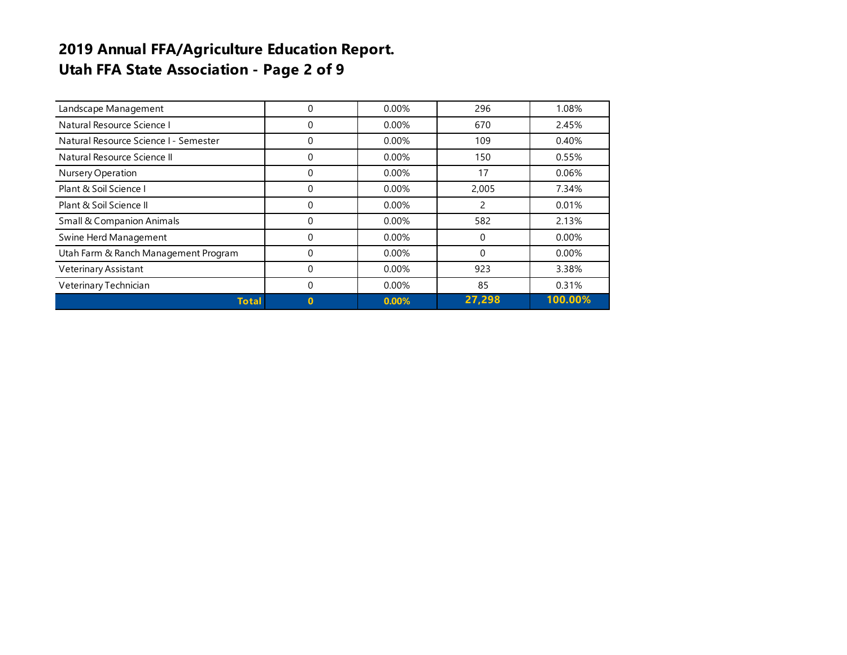# **2019 Annual FFA/Agriculture Education Report. Utah FFA State Association - Page 2 of 9**

| Landscape Management                  | 0           | 0.00%    | 296      | 1.08%    |
|---------------------------------------|-------------|----------|----------|----------|
| Natural Resource Science I            | 0           | $0.00\%$ | 670      | 2.45%    |
| Natural Resource Science I - Semester | 0           | $0.00\%$ | 109      | 0.40%    |
| Natural Resource Science II           | 0           | $0.00\%$ | 150      | 0.55%    |
| Nursery Operation                     | 0           | $0.00\%$ | 17       | 0.06%    |
| Plant & Soil Science I                | 0           | $0.00\%$ | 2,005    | 7.34%    |
| Plant & Soil Science II               | 0           | $0.00\%$ | 2        | 0.01%    |
| <b>Small &amp; Companion Animals</b>  | 0           | $0.00\%$ | 582      | 2.13%    |
| Swine Herd Management                 | 0           | $0.00\%$ | $\Omega$ | $0.00\%$ |
| Utah Farm & Ranch Management Program  | 0           | $0.00\%$ | $\Omega$ | $0.00\%$ |
| Veterinary Assistant                  | 0           | $0.00\%$ | 923      | 3.38%    |
| Veterinary Technician                 | 0           | $0.00\%$ | 85       | 0.31%    |
| <b>Total</b>                          | $\mathbf 0$ | 0.00%    | 27,298   | 100.00%  |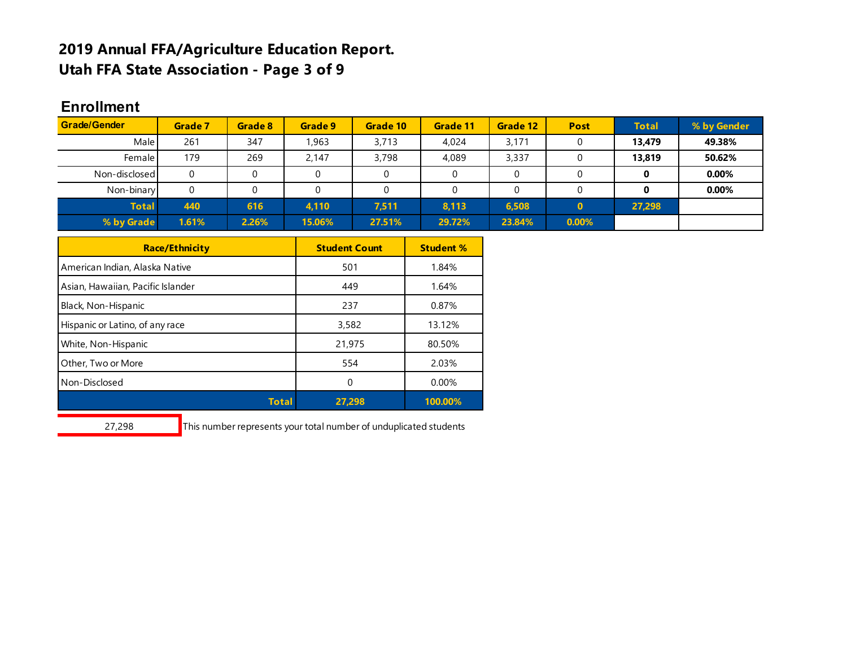### **2019 Annual FFA/Agriculture Education Report. Utah FFA State Association - Page 3 of 9**

#### **Enrollment Enrollment by**

| <b>Grade/Gender</b> | Grade 7 | Grade 8 | Grade 9 | Grade 10 | Grade 11 | Grade 12 | <b>Post</b>  | <b>Total</b> | % by Gender |
|---------------------|---------|---------|---------|----------|----------|----------|--------------|--------------|-------------|
| Male                | 261     | 347     | ,963    | 3,713    | 4.024    | 3,171    |              | 13.479       | 49.38%      |
| Female I            | 179     | 269     | 2.147   | 3,798    | 4,089    | 3,337    |              | 13,819       | 50.62%      |
| Non-disclosed       | 0       |         |         |          |          |          |              |              | 0.00%       |
| Non-binary          | 0       |         |         |          |          |          |              |              | 0.00%       |
| <b>Total</b>        | 440     | 616     | 4,110   | 7,511    | 8,113    | 6,508    | $\mathbf{0}$ | 27,298       |             |
| % by Grade          | 1.61%   | 2.26%   | 15.06%  | 27.51%   | 29.72%   | 23.84%   | 0.00%        |              |             |

| <b>Race/Ethnicity</b>             | <b>Student Count</b> | <b>Student %</b> |
|-----------------------------------|----------------------|------------------|
| American Indian, Alaska Native    | 501                  | 1.84%            |
| Asian, Hawaiian, Pacific Islander | 449                  | 1.64%            |
| Black, Non-Hispanic               | 237                  | 0.87%            |
| Hispanic or Latino, of any race   | 3,582                | 13.12%           |
| White, Non-Hispanic               | 21,975               | 80.50%           |
| Other, Two or More                | 554                  | 2.03%            |
| Non-Disclosed                     | 0                    | 0.00%            |
| Total                             | 27.298               | 100.00%          |

27,298 This number represents your total number of unduplicated students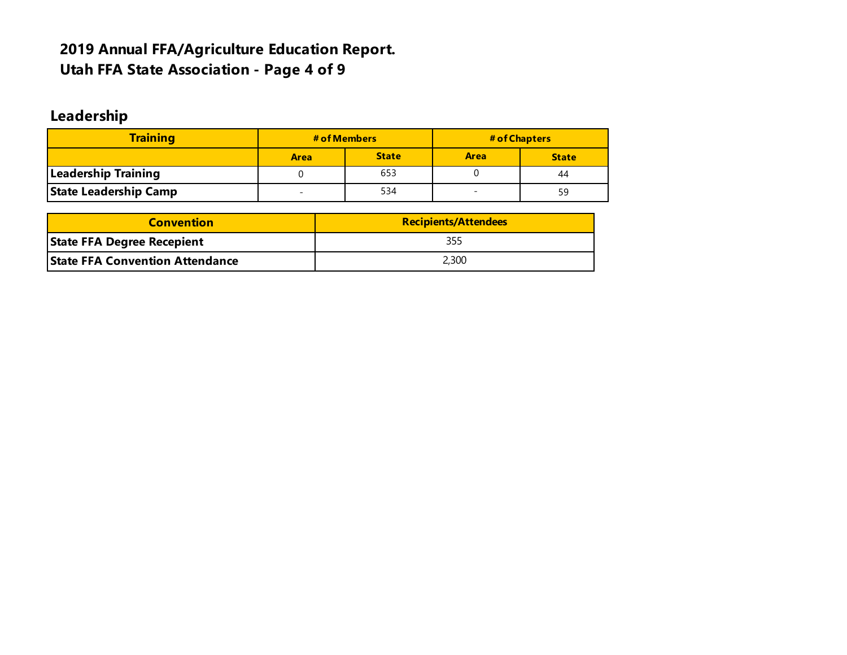# **2019 Annual FFA/Agriculture Education Report. Utah FFA State Association - Page 4 of 9**

# **Leadership**

| <b>Training</b>              | # of Members |              | # of Chapters |              |  |
|------------------------------|--------------|--------------|---------------|--------------|--|
|                              | <b>Area</b>  | <b>State</b> | <b>Area</b>   | <b>State</b> |  |
| Leadership Training          |              | 653          |               | 44           |  |
| <b>State Leadership Camp</b> |              | 534          | -             | 59           |  |

| <b>Convention</b>                      | <b>Recipients/Attendees</b> |  |  |  |  |
|----------------------------------------|-----------------------------|--|--|--|--|
| <b>State FFA Degree Recepient</b>      | 355                         |  |  |  |  |
| <b>State FFA Convention Attendance</b> | 2,300                       |  |  |  |  |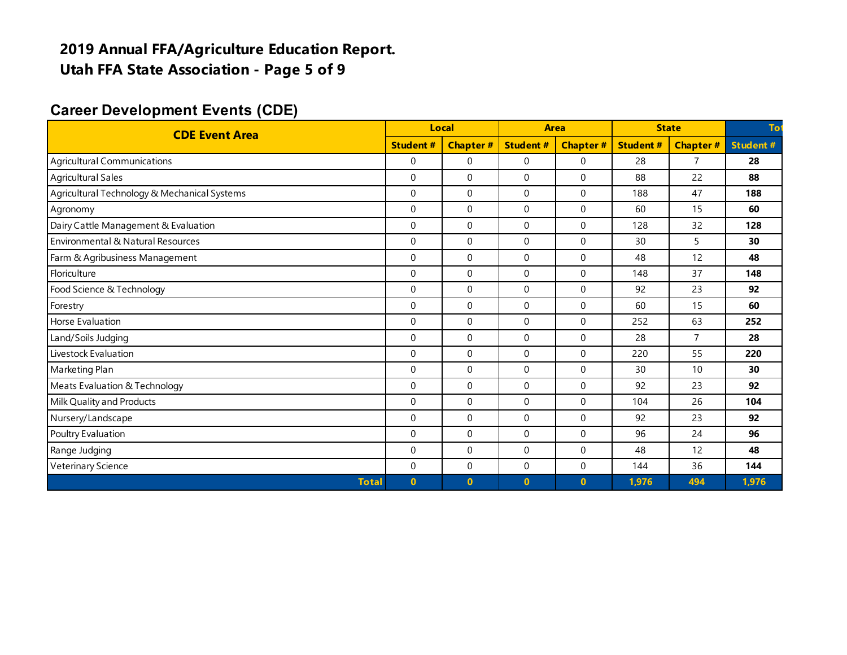### **2019 Annual FFA/Agriculture Education Report. Utah FFA State Association - Page 5 of 9**

#### **Career Development Events (CDE)**

| <b>CDE Event Area</b>                        |                 | Local           | Area            |                 | <b>State</b>    |                | Tot             |
|----------------------------------------------|-----------------|-----------------|-----------------|-----------------|-----------------|----------------|-----------------|
|                                              | <b>Student#</b> | <b>Chapter#</b> | <b>Student#</b> | <b>Chapter#</b> | <b>Student#</b> | Chapter#       | <b>Student#</b> |
| Agricultural Communications                  | $\Omega$        | 0               | $\mathbf 0$     | $\Omega$        | 28              | $\overline{7}$ | 28              |
| <b>Agricultural Sales</b>                    | $\Omega$        | $\mathbf 0$     | $\mathbf 0$     | $\Omega$        | 88              | 22             | 88              |
| Agricultural Technology & Mechanical Systems | $\Omega$        | $\Omega$        | $\mathbf 0$     | $\Omega$        | 188             | 47             | 188             |
| Agronomy                                     | $\Omega$        | 0               | $\mathbf 0$     | $\Omega$        | 60              | 15             | 60              |
| Dairy Cattle Management & Evaluation         | $\Omega$        | $\Omega$        | $\Omega$        | $\Omega$        | 128             | 32             | 128             |
| Environmental & Natural Resources            | $\mathbf 0$     | $\mathbf 0$     | $\mathbf 0$     | $\mathbf 0$     | 30              | 5              | 30              |
| Farm & Agribusiness Management               | $\mathbf 0$     | $\mathbf 0$     | $\mathbf 0$     | $\Omega$        | 48              | 12             | 48              |
| Floriculture                                 | $\mathbf 0$     | $\mathbf 0$     | $\mathbf 0$     | $\mathbf 0$     | 148             | 37             | 148             |
| Food Science & Technology                    | 0               | 0               | $\mathbf 0$     | $\Omega$        | 92              | 23             | 92              |
| Forestry                                     | $\mathbf 0$     | 0               | 0               | $\Omega$        | 60              | 15             | 60              |
| <b>Horse Evaluation</b>                      | $\Omega$        | $\Omega$        | $\Omega$        | $\Omega$        | 252             | 63             | 252             |
| Land/Soils Judging                           | $\mathbf 0$     | 0               | $\mathbf 0$     | $\Omega$        | 28              | $\overline{7}$ | 28              |
| Livestock Evaluation                         | $\Omega$        | 0               | $\Omega$        | $\Omega$        | 220             | 55             | 220             |
| Marketing Plan                               | $\Omega$        | 0               | $\Omega$        | $\Omega$        | 30              | 10             | 30              |
| Meats Evaluation & Technology                | $\mathbf 0$     | $\mathbf 0$     | $\mathbf 0$     | $\Omega$        | 92              | 23             | 92              |
| Milk Quality and Products                    | $\mathbf 0$     | 0               | $\mathbf 0$     | $\mathbf 0$     | 104             | 26             | 104             |
| Nursery/Landscape                            | $\Omega$        | 0               | $\mathbf 0$     | $\Omega$        | 92              | 23             | 92              |
| Poultry Evaluation                           | $\mathbf 0$     | 0               | 0               | $\mathbf 0$     | 96              | 24             | 96              |
| Range Judging                                | $\Omega$        | $\mathbf 0$     | $\mathbf 0$     | $\Omega$        | 48              | 12             | 48              |
| Veterinary Science                           | $\mathbf 0$     | 0               | $\mathbf 0$     | $\Omega$        | 144             | 36             | 144             |
| <b>Total</b>                                 | $\bf{0}$        | $\bf{0}$        | $\mathbf{0}$    | $\mathbf{0}$    | 1,976           | 494            | 1,976           |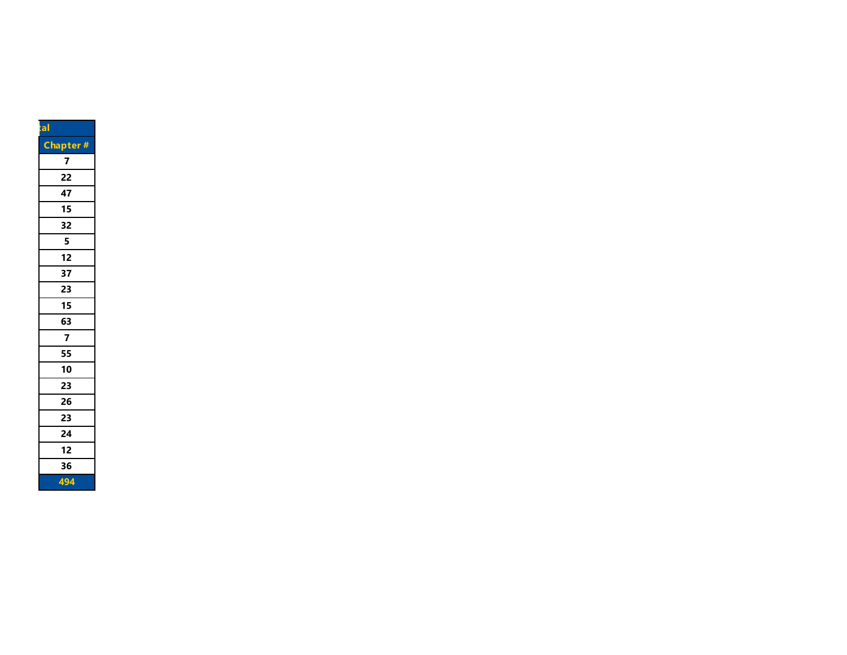| a |                         |
|---|-------------------------|
|   | <b>Chapter#</b>         |
|   | 7                       |
|   | 22                      |
|   | 47                      |
|   | 15                      |
|   | 32                      |
|   | 5                       |
|   | 12                      |
|   | 37                      |
|   | 23                      |
|   | 15                      |
|   | 63                      |
|   | $\overline{\mathbf{z}}$ |
|   | 55                      |
|   | 10                      |
|   | 23                      |
|   | 26                      |
|   | 23                      |
|   | 24                      |
|   | 12                      |
|   | 36                      |
|   | 494                     |
|   |                         |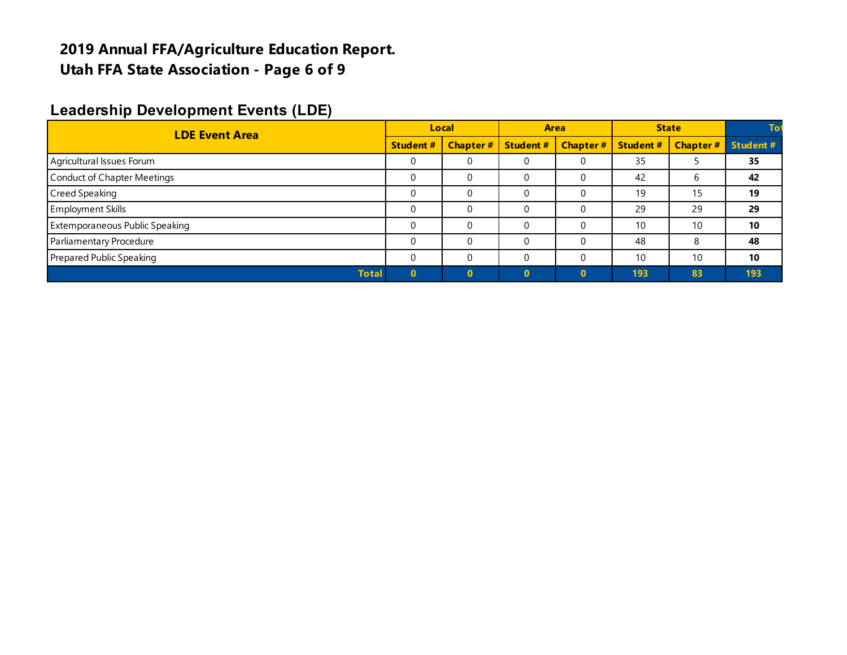### **2019 Annual FFA/Agriculture Education Report. Utah FFA State Association - Page 6 of 9**

### **Leadership Development Events (LDE)**

| <b>LDE Event Area</b>              | Local    |                 | <b>Area</b>      |                 | <b>State</b>     |                 |          |
|------------------------------------|----------|-----------------|------------------|-----------------|------------------|-----------------|----------|
| <b>Student #</b>                   |          | <b>Chapter#</b> | <b>Student #</b> | <b>Chapter#</b> | <b>Student #</b> | <b>Chapter#</b> | Student# |
| Agricultural Issues Forum          | 0        | 0               | 0                |                 | 35               |                 | 35       |
| <b>Conduct of Chapter Meetings</b> |          | 0               |                  |                 | 42               | b               | 42       |
| Creed Speaking                     | $\Omega$ | 0               | 0                |                 | 19               | 15              | 19       |
| <b>Employment Skills</b>           |          | 0               | C                |                 | 29               | 29              | 29       |
| Extemporaneous Public Speaking     | $\Omega$ | 0               | 0                |                 | 10               | 10              | 10       |
| Parliamentary Procedure            | $\Omega$ | $\Omega$        | 0                |                 | 48               | 8               | 48       |
| Prepared Public Speaking           | $\Omega$ | 0               |                  |                 | 10               | 10              | 10       |
| <b>Total</b>                       |          | $\Omega$        |                  | $\Omega$        | 193              | 83              | 193      |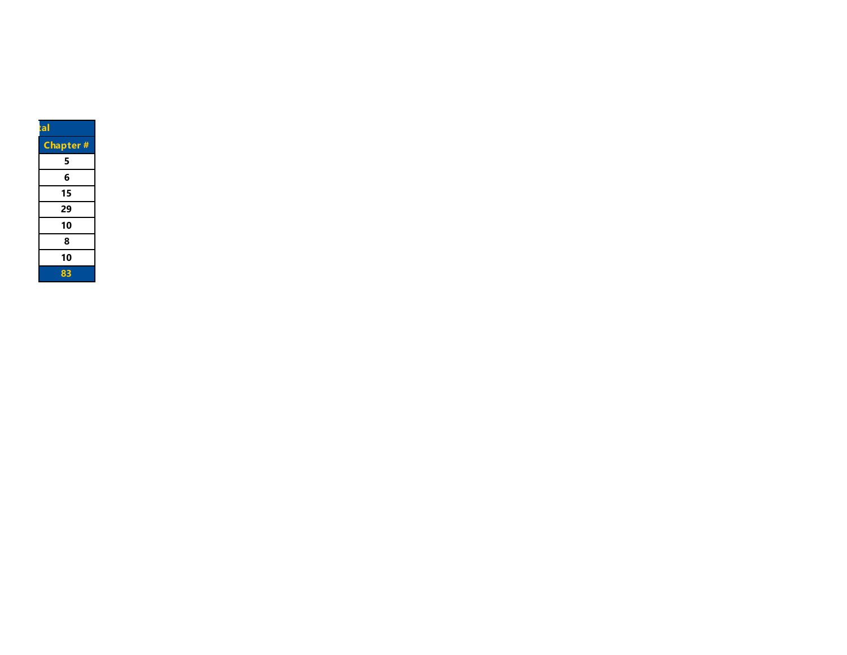| $t$ al          |
|-----------------|
| <b>Chapter#</b> |
| 5               |
| 6               |
| 15              |
| 29              |
| 10              |
| 8               |
| 10              |
| 83              |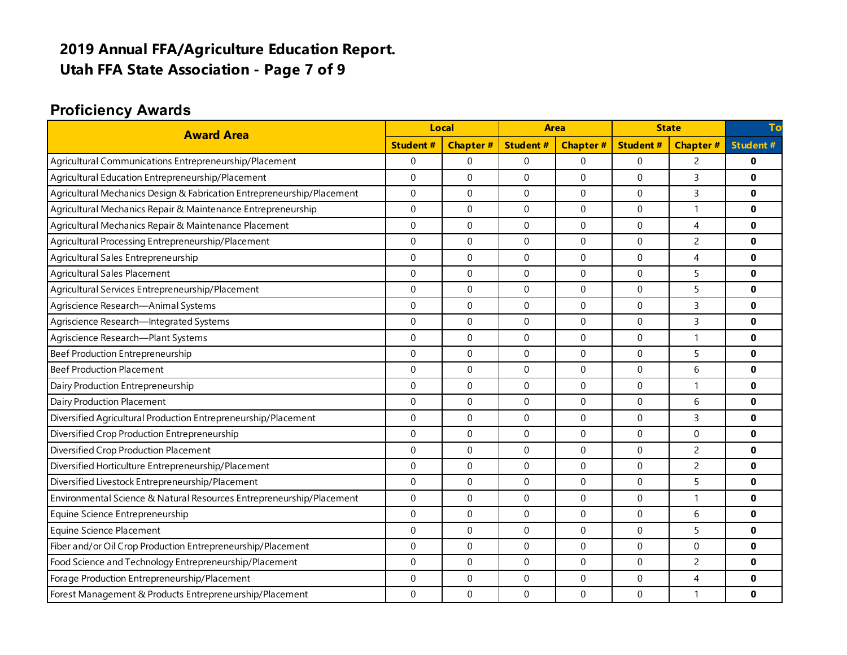# **2019 Annual FFA/Agriculture Education Report. Utah FFA State Association - Page 7 of 9**

### **Proficiency Awards**

| <b>Award Area</b><br><b>Student#</b>                                   |             | <b>Local</b>     |                  | <b>Area</b>     |                 | <b>State</b>    |                 |
|------------------------------------------------------------------------|-------------|------------------|------------------|-----------------|-----------------|-----------------|-----------------|
|                                                                        |             | <b>Chapter#</b>  | <b>Student#</b>  | <b>Chapter#</b> | <b>Student#</b> | <b>Chapter#</b> | <b>Student#</b> |
| Agricultural Communications Entrepreneurship/Placement                 | $\mathbf 0$ | $\Omega$         | $\mathbf 0$      | $\Omega$        | 0               | $\overline{c}$  | $\bf{0}$        |
| Agricultural Education Entrepreneurship/Placement                      | $\mathbf 0$ | $\mathbf 0$      | $\mathbf 0$      | $\Omega$        | $\mathbf 0$     | 3               | $\bf{0}$        |
| Agricultural Mechanics Design & Fabrication Entrepreneurship/Placement | $\mathbf 0$ | $\mathbf 0$      | $\mathbf 0$      | $\Omega$        | 0               | 3               | $\bf{0}$        |
| Agricultural Mechanics Repair & Maintenance Entrepreneurship           | $\mathbf 0$ | $\mathbf 0$      | $\mathbf 0$      | $\Omega$        | $\Omega$        | 1               | $\bf{0}$        |
| Agricultural Mechanics Repair & Maintenance Placement                  | $\mathbf 0$ | $\mathbf 0$      | $\boldsymbol{0}$ | $\Omega$        | $\Omega$        | 4               | $\bf{0}$        |
| Agricultural Processing Entrepreneurship/Placement                     | $\mathbf 0$ | $\mathbf 0$      | $\boldsymbol{0}$ | $\Omega$        | 0               | $\overline{2}$  | $\bf{0}$        |
| Agricultural Sales Entrepreneurship                                    | $\mathbf 0$ | $\mathbf 0$      | $\mathbf 0$      | $\Omega$        | 0               | $\overline{4}$  | $\bf{0}$        |
| Agricultural Sales Placement                                           | $\Omega$    | $\mathbf 0$      | $\Omega$         | $\Omega$        | $\Omega$        | 5               | $\Omega$        |
| Agricultural Services Entrepreneurship/Placement                       | $\Omega$    | $\mathbf 0$      | $\Omega$         | $\Omega$        | $\Omega$        | 5               | $\bf{0}$        |
| Agriscience Research-Animal Systems                                    | $\Omega$    | $\Omega$         | $\Omega$         | $\Omega$        | $\Omega$        | 3               | $\bf{0}$        |
| Agriscience Research-Integrated Systems                                | $\Omega$    | $\Omega$         | $\Omega$         | $\Omega$        | $\Omega$        | 3               | $\bf{0}$        |
| Agriscience Research-Plant Systems                                     | $\Omega$    | $\Omega$         | $\Omega$         | $\Omega$        | $\Omega$        | 1               | $\bf{0}$        |
| Beef Production Entrepreneurship                                       | $\Omega$    | $\Omega$         | $\Omega$         | $\Omega$        | $\Omega$        | 5               | $\Omega$        |
| <b>Beef Production Placement</b>                                       | $\Omega$    | $\Omega$         | $\Omega$         | $\Omega$        | $\Omega$        | 6               | $\bf{0}$        |
| Dairy Production Entrepreneurship                                      | $\Omega$    | $\Omega$         | $\mathbf 0$      | $\Omega$        | $\Omega$        | 1               | $\Omega$        |
| Dairy Production Placement                                             | $\Omega$    | $\Omega$         | $\mathbf{0}$     | $\Omega$        | $\Omega$        | 6               | $\Omega$        |
| Diversified Agricultural Production Entrepreneurship/Placement         | $\mathbf 0$ | $\mathbf 0$      | $\mathbf 0$      | $\mathbf 0$     | 0               | 3               | $\bf{0}$        |
| Diversified Crop Production Entrepreneurship                           | $\Omega$    | $\mathbf 0$      | $\Omega$         | $\Omega$        | $\Omega$        | 0               | $\bf{0}$        |
| Diversified Crop Production Placement                                  | $\Omega$    | $\mathbf 0$      | $\Omega$         | $\Omega$        | $\Omega$        | $\overline{c}$  | $\bf{0}$        |
| Diversified Horticulture Entrepreneurship/Placement                    | $\Omega$    | $\Omega$         | $\Omega$         | $\Omega$        | $\Omega$        | $\overline{c}$  | $\bf{0}$        |
| Diversified Livestock Entrepreneurship/Placement                       | $\mathbf 0$ | $\boldsymbol{0}$ | $\boldsymbol{0}$ | $\mathbf 0$     | 0               | 5               | $\mathbf{0}$    |
| Environmental Science & Natural Resources Entrepreneurship/Placement   | $\mathbf 0$ | $\mathbf 0$      | $\mathbf 0$      | $\Omega$        | 0               | 1               | $\mathbf{0}$    |
| Equine Science Entrepreneurship                                        | $\Omega$    | $\mathbf 0$      | $\mathbf 0$      | $\Omega$        | 0               | 6               | $\bf{0}$        |
| <b>Equine Science Placement</b>                                        | $\Omega$    | $\mathbf 0$      | $\Omega$         | $\Omega$        | $\Omega$        | 5               | $\bf{0}$        |
| Fiber and/or Oil Crop Production Entrepreneurship/Placement            | $\mathbf 0$ | $\boldsymbol{0}$ | 0                | 0               | 0               | 0               | $\mathbf{0}$    |
| Food Science and Technology Entrepreneurship/Placement                 | $\mathbf 0$ | $\mathbf 0$      | $\mathbf 0$      | $\mathbf 0$     | 0               | $\overline{c}$  | $\mathbf{0}$    |
| Forage Production Entrepreneurship/Placement                           | $\mathbf 0$ | $\mathbf 0$      | $\mathbf 0$      | $\Omega$        | 0               | $\overline{4}$  | $\mathbf{0}$    |
| Forest Management & Products Entrepreneurship/Placement                | $\Omega$    | $\Omega$         | $\Omega$         | $\Omega$        | $\Omega$        | 1               | $\mathbf{0}$    |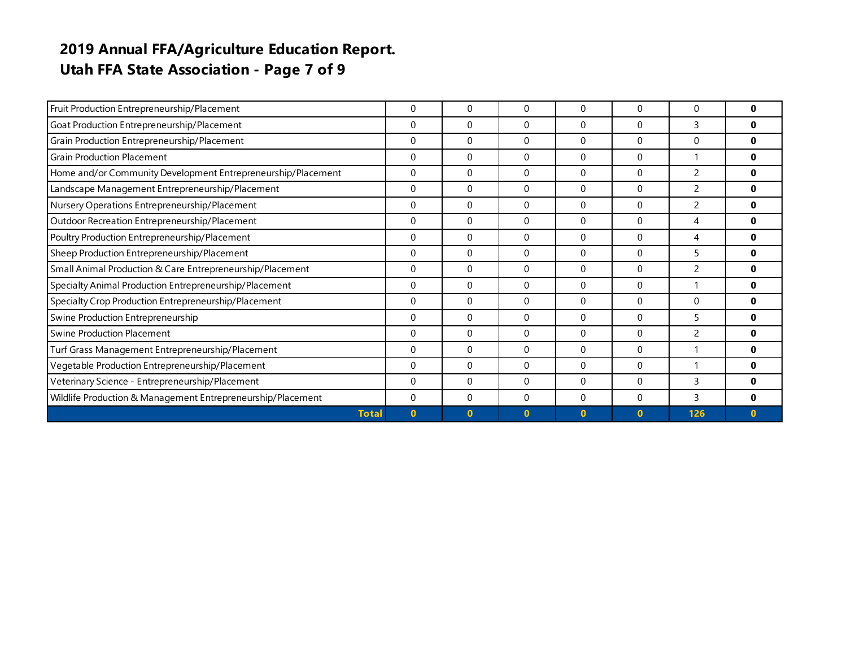# **2019 Annual FFA/Agriculture Education Report. Utah FFA State Association - Page 7 of 9**

| Fruit Production Entrepreneurship/Placement                  | 0            | 0            | $\mathbf{0}$ | $\Omega$ | $\Omega$     | 0                        |              |
|--------------------------------------------------------------|--------------|--------------|--------------|----------|--------------|--------------------------|--------------|
| Goat Production Entrepreneurship/Placement                   | $\Omega$     | $\Omega$     | $\Omega$     | $\Omega$ | $\Omega$     | 3                        |              |
| Grain Production Entrepreneurship/Placement                  | $\Omega$     | $\Omega$     | $\Omega$     | $\Omega$ | $\Omega$     | 0                        |              |
| <b>Grain Production Placement</b>                            | $\Omega$     | $\Omega$     | $\Omega$     | $\Omega$ | $\Omega$     |                          |              |
| Home and/or Community Development Entrepreneurship/Placement | 0            | $\Omega$     | $\Omega$     | $\Omega$ | $\Omega$     | $\overline{\phantom{0}}$ |              |
| Landscape Management Entrepreneurship/Placement              | $\Omega$     | $\Omega$     | $\Omega$     | $\Omega$ | $\Omega$     | $\overline{c}$           | 0            |
| Nursery Operations Entrepreneurship/Placement                | $\Omega$     | $\Omega$     | $\Omega$     | $\Omega$ | $\Omega$     | $\mathcal{P}$            |              |
| Outdoor Recreation Entrepreneurship/Placement                | 0            | $\Omega$     | $\Omega$     | $\Omega$ | $\Omega$     | 4                        |              |
| Poultry Production Entrepreneurship/Placement                | $\mathbf 0$  | $\mathbf 0$  | $\mathbf{0}$ | 0        | $\mathbf 0$  | 4                        |              |
| Sheep Production Entrepreneurship/Placement                  | 0            | $\Omega$     | $\Omega$     | $\Omega$ | $\Omega$     | 5                        |              |
| Small Animal Production & Care Entrepreneurship/Placement    | $\theta$     | $\Omega$     | $\Omega$     | $\Omega$ | $\Omega$     |                          |              |
| Specialty Animal Production Entrepreneurship/Placement       | $\Omega$     | $\Omega$     | $\Omega$     | $\Omega$ | $\Omega$     |                          |              |
| Specialty Crop Production Entrepreneurship/Placement         | $\Omega$     | $\Omega$     | $\Omega$     | $\Omega$ | $\Omega$     | $\Omega$                 |              |
| Swine Production Entrepreneurship                            | $\Omega$     | $\Omega$     | $\Omega$     | $\Omega$ | $\Omega$     | 5                        |              |
| <b>Swine Production Placement</b>                            | $\Omega$     | $\Omega$     | $\Omega$     | $\Omega$ | $\Omega$     | 2                        |              |
| Turf Grass Management Entrepreneurship/Placement             |              | $\mathbf{0}$ | $\mathbf{0}$ | $\Omega$ | 0            |                          | 0            |
| Vegetable Production Entrepreneurship/Placement              |              | $\Omega$     | $\Omega$     | $\Omega$ | $\Omega$     |                          |              |
| Veterinary Science - Entrepreneurship/Placement              |              | $\Omega$     | $\mathbf{0}$ | $\Omega$ | $\Omega$     | 3                        |              |
| Wildlife Production & Management Entrepreneurship/Placement  | $\Omega$     | $\Omega$     | $\Omega$     | $\Omega$ | $\Omega$     | 3                        |              |
| <b>Total</b>                                                 | $\mathbf{0}$ | $\Omega$     | $\Omega$     | $\bf{0}$ | $\mathbf{0}$ | 126                      | $\mathbf{0}$ |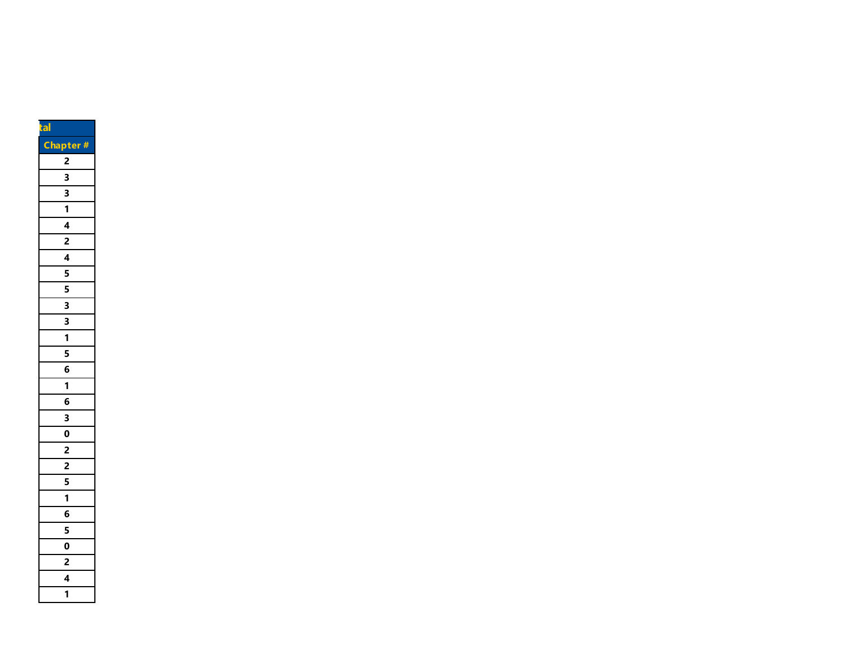| tal                                                                                                                             |  |
|---------------------------------------------------------------------------------------------------------------------------------|--|
| Ch<br>pter #                                                                                                                    |  |
| $\overline{a}$                                                                                                                  |  |
|                                                                                                                                 |  |
| $\frac{3}{3} - \frac{1}{1} - \frac{4}{2} - \frac{4}{4} - \frac{5}{5} - \frac{5}{3} - \frac{3}{3} - \frac{1}{2}$                 |  |
|                                                                                                                                 |  |
|                                                                                                                                 |  |
|                                                                                                                                 |  |
|                                                                                                                                 |  |
|                                                                                                                                 |  |
|                                                                                                                                 |  |
|                                                                                                                                 |  |
|                                                                                                                                 |  |
|                                                                                                                                 |  |
|                                                                                                                                 |  |
| $\frac{1}{5}$ $\frac{1}{6}$                                                                                                     |  |
| $\overline{1}$                                                                                                                  |  |
| $\overline{\mathbf{6}}$                                                                                                         |  |
| $\overline{30}$ $\overline{01}$ $\overline{21}$ $\overline{51}$ $\overline{11}$ $\overline{61}$ $\overline{51}$ $\overline{01}$ |  |
|                                                                                                                                 |  |
|                                                                                                                                 |  |
|                                                                                                                                 |  |
|                                                                                                                                 |  |
|                                                                                                                                 |  |
|                                                                                                                                 |  |
|                                                                                                                                 |  |
|                                                                                                                                 |  |
| $\frac{2}{4}$                                                                                                                   |  |
|                                                                                                                                 |  |
| $\overline{\mathbf{1}}$                                                                                                         |  |
|                                                                                                                                 |  |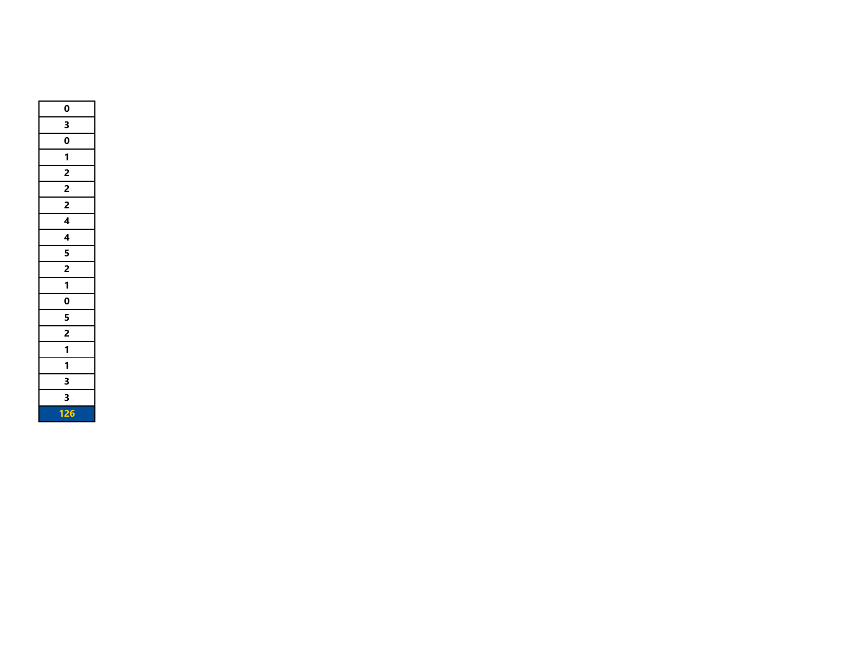| 0                        |
|--------------------------|
| 3                        |
| $\mathbf 0$              |
| 1                        |
| $\overline{2}$           |
| $\overline{2}$           |
| $\overline{2}$           |
| $\overline{4}$           |
| 4                        |
| 5                        |
| $\overline{2}$           |
| 1                        |
| $\overline{\mathbf{0}}$  |
| $\overline{\phantom{0}}$ |
| $\frac{2}{1}$            |
| $\overline{\mathbf{1}}$  |
| 1                        |
| 3                        |
| 3                        |
| 126                      |
|                          |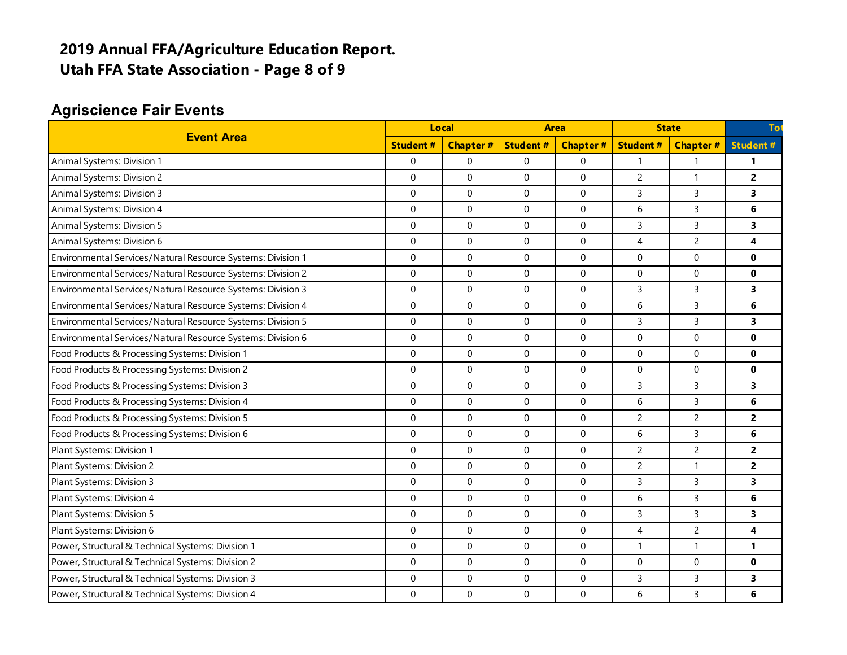# **2019 Annual FFA/Agriculture Education Report. Utah FFA State Association - Page 8 of 9**

### **Agriscience Fair Events**

| <b>Event Area</b><br><b>Student#</b>                        |                  | Local            |                 | <b>Area</b>     |                 | <b>State</b>     |                         |
|-------------------------------------------------------------|------------------|------------------|-----------------|-----------------|-----------------|------------------|-------------------------|
|                                                             |                  | <b>Chapter#</b>  | <b>Student#</b> | <b>Chapter#</b> | <b>Student#</b> | <b>Chapter#</b>  | <b>Student#</b>         |
| Animal Systems: Division 1                                  | $\mathbf 0$      | $\mathbf 0$      | 0               | 0               | $\mathbf{1}$    | $\mathbf{1}$     | 1                       |
| Animal Systems: Division 2                                  | $\mathbf 0$      | $\mathbf 0$      | 0               | 0               | $\overline{c}$  | $\mathbf{1}$     | $\overline{2}$          |
| Animal Systems: Division 3                                  | $\mathbf 0$      | $\mathbf 0$      | 0               | 0               | 3               | 3                | $\overline{\mathbf{3}}$ |
| Animal Systems: Division 4                                  | $\pmb{0}$        | $\boldsymbol{0}$ | 0               | 0               | 6               | $\overline{3}$   | 6                       |
| Animal Systems: Division 5                                  | $\mathbf 0$      | 0                | 0               | 0               | $\mathsf{3}$    | $\overline{3}$   | 3                       |
| Animal Systems: Division 6                                  | $\mathbf{0}$     | $\mathbf 0$      | $\Omega$        | $\Omega$        | $\overline{4}$  | $\overline{c}$   | 4                       |
| Environmental Services/Natural Resource Systems: Division 1 | $\mathbf 0$      | $\mathbf 0$      | 0               | 0               | $\mathbf 0$     | 0                | 0                       |
| Environmental Services/Natural Resource Systems: Division 2 | $\mathbf 0$      | $\mathbf 0$      | 0               | $\Omega$        | $\Omega$        | $\mathbf 0$      | $\mathbf{0}$            |
| Environmental Services/Natural Resource Systems: Division 3 | $\Omega$         | $\mathbf 0$      | 0               | $\Omega$        | 3               | $\mathsf{3}$     | 3                       |
| Environmental Services/Natural Resource Systems: Division 4 | $\Omega$         | $\Omega$         | $\Omega$        | $\Omega$        | 6               | 3                | 6                       |
| Environmental Services/Natural Resource Systems: Division 5 | $\Omega$         | $\mathbf 0$      | 0               | $\Omega$        | 3               | $\mathsf{3}$     | 3                       |
| Environmental Services/Natural Resource Systems: Division 6 | $\mathbf 0$      | $\mathbf 0$      | 0               | $\mathbf{0}$    | $\mathbf 0$     | $\boldsymbol{0}$ | $\mathbf{0}$            |
| Food Products & Processing Systems: Division 1              | $\mathbf 0$      | $\boldsymbol{0}$ | 0               | 0               | $\mathbf 0$     | $\mathbf 0$      | 0                       |
| Food Products & Processing Systems: Division 2              | $\Omega$         | $\Omega$         | $\Omega$        | $\mathbf{0}$    | $\Omega$        | $\Omega$         | $\mathbf{0}$            |
| Food Products & Processing Systems: Division 3              | $\mathbf 0$      | $\mathbf 0$      | 0               | 0               | $\overline{3}$  | $\overline{3}$   | 3                       |
| Food Products & Processing Systems: Division 4              | $\Omega$         | $\mathbf 0$      | 0               | $\Omega$        | 6               | $\mathsf{3}$     | 6                       |
| Food Products & Processing Systems: Division 5              | $\mathbf 0$      | $\mathbf 0$      | 0               | 0               | $\overline{c}$  | $\overline{c}$   | $\overline{2}$          |
| Food Products & Processing Systems: Division 6              | $\mathbf 0$      | $\mathbf 0$      | 0               | 0               | 6               | $\overline{3}$   | 6                       |
| Plant Systems: Division 1                                   | $\mathbf 0$      | $\mathbf 0$      | 0               | $\Omega$        | $\overline{c}$  | $\overline{2}$   | $\overline{2}$          |
| Plant Systems: Division 2                                   | $\Omega$         | $\mathbf 0$      | 0               | $\Omega$        | $\overline{c}$  | $\mathbf{1}$     | $\mathbf{2}$            |
| Plant Systems: Division 3                                   | $\mathbf 0$      | 0                | 0               | 0               | 3               | 3                | 3                       |
| Plant Systems: Division 4                                   | $\mathbf 0$      | $\mathbf 0$      | $\mathbf 0$     | 0               | 6               | $\overline{3}$   | 6                       |
| Plant Systems: Division 5                                   | $\mathbf 0$      | $\boldsymbol{0}$ | 0               | 0               | 3               | $\overline{3}$   | 3                       |
| Plant Systems: Division 6                                   | $\mathbf 0$      | $\boldsymbol{0}$ | 0               | 0               | 4               | $\overline{c}$   | 4                       |
| Power, Structural & Technical Systems: Division 1           | $\mathbf 0$      | $\mathbf 0$      | 0               | $\mathbf{0}$    | $\overline{1}$  | $\mathbf{1}$     | $\mathbf{1}$            |
| Power, Structural & Technical Systems: Division 2           | $\boldsymbol{0}$ | $\boldsymbol{0}$ | 0               | 0               | $\mathbf 0$     | $\boldsymbol{0}$ | $\mathbf 0$             |
| Power, Structural & Technical Systems: Division 3           | $\mathbf 0$      | $\mathbf 0$      | 0               | 0               | $\mathsf{3}$    | $\mathsf{3}$     | 3                       |
| Power, Structural & Technical Systems: Division 4           | $\Omega$         | $\mathbf 0$      | 0               | $\Omega$        | 6               | $\mathsf{3}$     | 6                       |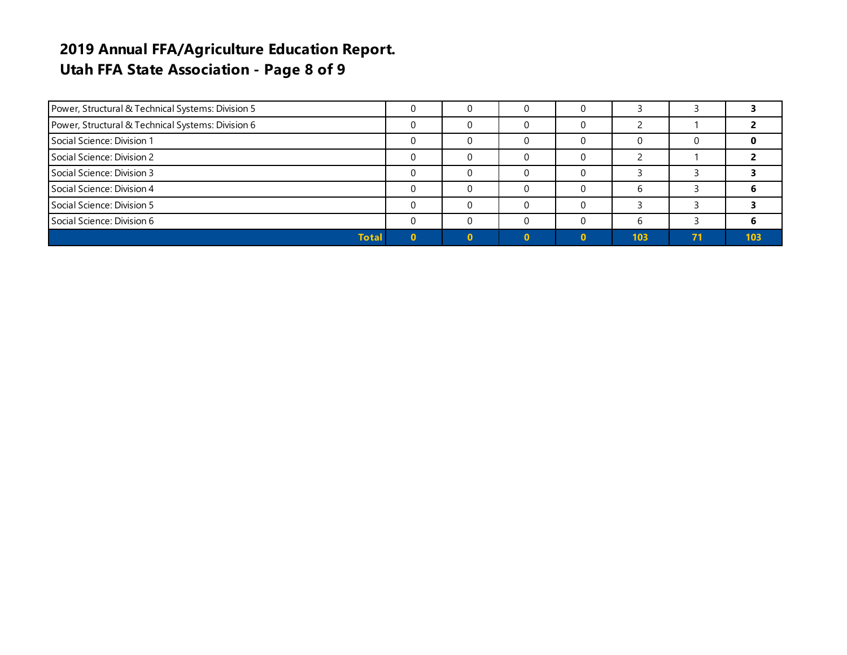### **2019 Annual FFA/Agriculture Education Report. Utah FFA State Association - Page 8 of 9**

| Power, Structural & Technical Systems: Division 5 |  |  |     |    |     |
|---------------------------------------------------|--|--|-----|----|-----|
| Power, Structural & Technical Systems: Division 6 |  |  |     |    |     |
| Social Science: Division 1                        |  |  |     |    |     |
| Social Science: Division 2                        |  |  |     |    |     |
| Social Science: Division 3                        |  |  |     |    |     |
| Social Science: Division 4                        |  |  |     |    |     |
| Social Science: Division 5                        |  |  |     |    |     |
| Social Science: Division 6                        |  |  |     |    |     |
| <b>Total</b>                                      |  |  | 103 | 71 | 103 |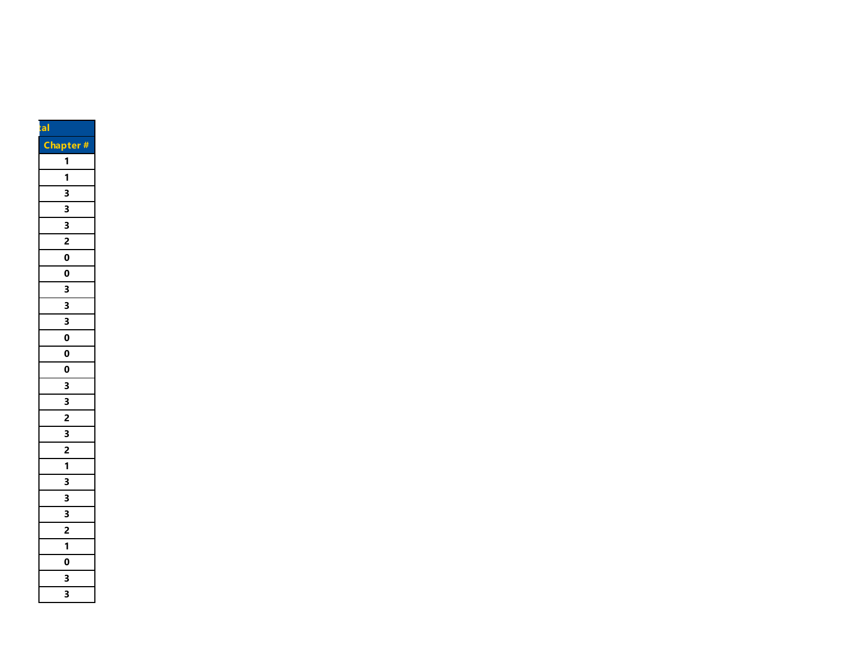| tal                                  |
|--------------------------------------|
| Cha<br>pter<br>Ħ                     |
| 1                                    |
| 1                                    |
| 3                                    |
| 3                                    |
| 3                                    |
| 2                                    |
| $\overline{\mathbf{0}}$              |
| 0                                    |
| 3                                    |
| $\overline{\overline{\overline{3}}}$ |
| $\overline{\mathbf{3}}$              |
| 0                                    |
| 0                                    |
| O                                    |
| $\overline{\mathbf{3}}$              |
| 3                                    |
| $\overline{2}$                       |
| $\overline{\mathbf{3}}$              |
| $\overline{2}$                       |
| $\overline{\mathbf{1}}$              |
| $\overline{\overline{\overline{3}}}$ |
|                                      |
| 3                                    |
| $\frac{1}{2}$                        |
| 1                                    |
| 0                                    |
| 3                                    |
| 3                                    |
|                                      |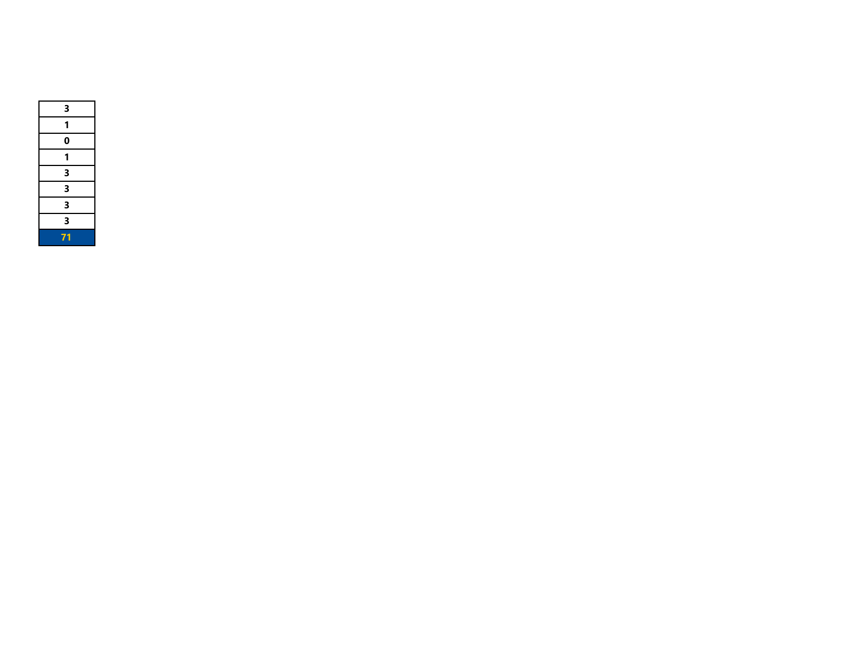| 3  |  |
|----|--|
|    |  |
| 0  |  |
|    |  |
| З  |  |
| 3  |  |
| 3  |  |
| 3  |  |
| 71 |  |
|    |  |